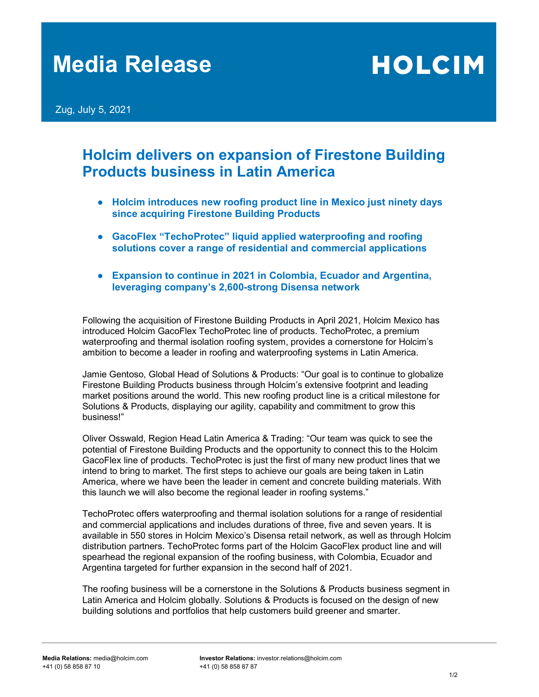# Media Release

**HOLCIM** 

Zug, July 5, 2021

### Holcim delivers on expansion of Firestone Building Products business in Latin America

- Holcim introduces new roofing product line in Mexico just ninety days since acquiring Firestone Building Products
- GacoFlex "TechoProtec" liquid applied waterproofing and roofing solutions cover a range of residential and commercial applications
- Expansion to continue in 2021 in Colombia, Ecuador and Argentina, leveraging company's 2,600-strong Disensa network

Following the acquisition of Firestone Building Products in April 2021, Holcim Mexico has introduced Holcim GacoFlex TechoProtec line of products. TechoProtec, a premium waterproofing and thermal isolation roofing system, provides a cornerstone for Holcim's ambition to become a leader in roofing and waterproofing systems in Latin America.

Jamie Gentoso, Global Head of Solutions & Products: "Our goal is to continue to globalize Firestone Building Products business through Holcim's extensive footprint and leading market positions around the world. This new roofing product line is a critical milestone for Solutions & Products, displaying our agility, capability and commitment to grow this business!"

Oliver Osswald, Region Head Latin America & Trading: "Our team was quick to see the potential of Firestone Building Products and the opportunity to connect this to the Holcim GacoFlex line of products. TechoProtec is just the first of many new product lines that we intend to bring to market. The first steps to achieve our goals are being taken in Latin America, where we have been the leader in cement and concrete building materials. With this launch we will also become the regional leader in roofing systems."

TechoProtec offers waterproofing and thermal isolation solutions for a range of residential and commercial applications and includes durations of three, five and seven years. It is available in 550 stores in Holcim Mexico's Disensa retail network, as well as through Holcim distribution partners. TechoProtec forms part of the Holcim GacoFlex product line and will spearhead the regional expansion of the roofing business, with Colombia, Ecuador and Argentina targeted for further expansion in the second half of 2021.

The roofing business will be a cornerstone in the Solutions & Products business segment in Latin America and Holcim globally. Solutions & Products is focused on the design of new building solutions and portfolios that help customers build greener and smarter.